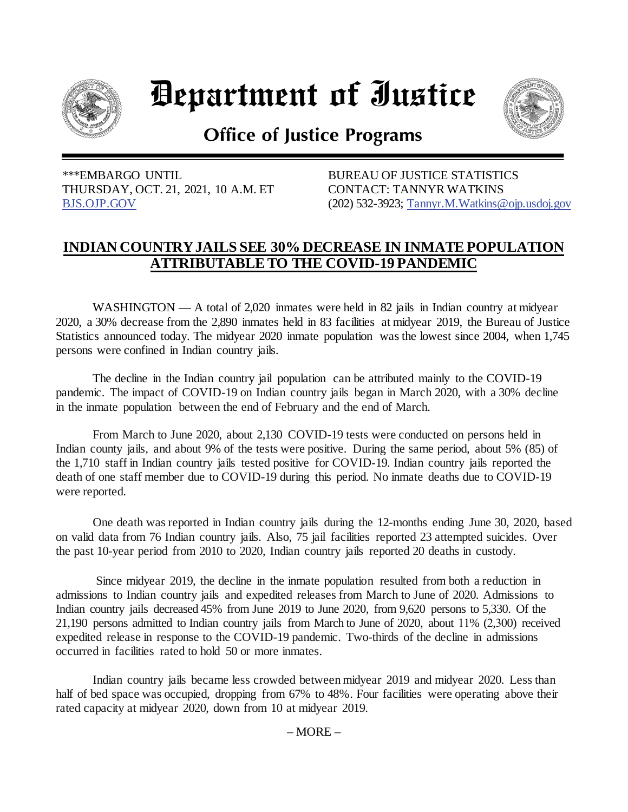

## Department of Iustice



**Office of Justice Programs** 

 \*\*\*EMBARGO UNTIL THURSDAY, OCT. 21, 2021, 10 A.M. ET [BJS.OJP.GOV](https://bjs.ojp.gov/)

BUREAU OF JUSTICE STATISTICS CONTACT: TANNYR WATKINS (202) 532-3923; [Tannyr.M.Watkins@ojp.usdoj.gov](mailto:Tannyr.M.Watkins@ojp.usdoj.gov)

## **INDIAN COUNTRY JAILS SEE 30% DECREASE IN INMATE POPULATION ATTRIBUTABLE TO THE COVID-19 PANDEMIC**

WASHINGTON  $- A$  total of 2,020 inmates were held in 82 jails in Indian country at midyear 2020, a 30% decrease from the 2,890 inmates held in 83 facilities at midyear 2019, the Bureau of Justice Statistics announced today. The midyear 2020 inmate population was the lowest since 2004, when 1,745 persons were confined in Indian country jails.

The decline in the Indian country jail population can be attributed mainly to the COVID-19 pandemic. The impact of COVID-19 on Indian country jails began in March 2020, with a 30% decline in the inmate population between the end of February and the end of March.

From March to June 2020, about 2,130 COVID-19 tests were conducted on persons held in Indian county jails, and about 9% of the tests were positive. During the same period, about 5% (85) of the 1,710 staff in Indian country jails tested positive for COVID-19. Indian country jails reported the death of one staff member due to COVID-19 during this period. No inmate deaths due to COVID-19 were reported.

One death was reported in Indian country jails during the 12-months ending June 30, 2020, based on valid data from 76 Indian country jails. Also, 75 jail facilities reported 23 attempted suicides. Over the past 10-year period from 2010 to 2020, Indian country jails reported 20 deaths in custody.

Since midyear 2019, the decline in the inmate population resulted from both a reduction in admissions to Indian country jails and expedited releases from March to June of 2020. Admissions to Indian country jails decreased 45% from June 2019 to June 2020, from 9,620 persons to 5,330. Of the 21,190 persons admitted to Indian country jails from March to June of 2020, about 11% (2,300) received expedited release in response to the COVID-19 pandemic. Two-thirds of the decline in admissions occurred in facilities rated to hold 50 or more inmates.

Indian country jails became less crowded between midyear 2019 and midyear 2020. Less than half of bed space was occupied, dropping from 67% to 48%. Four facilities were operating above their rated capacity at midyear 2020, down from 10 at midyear 2019.